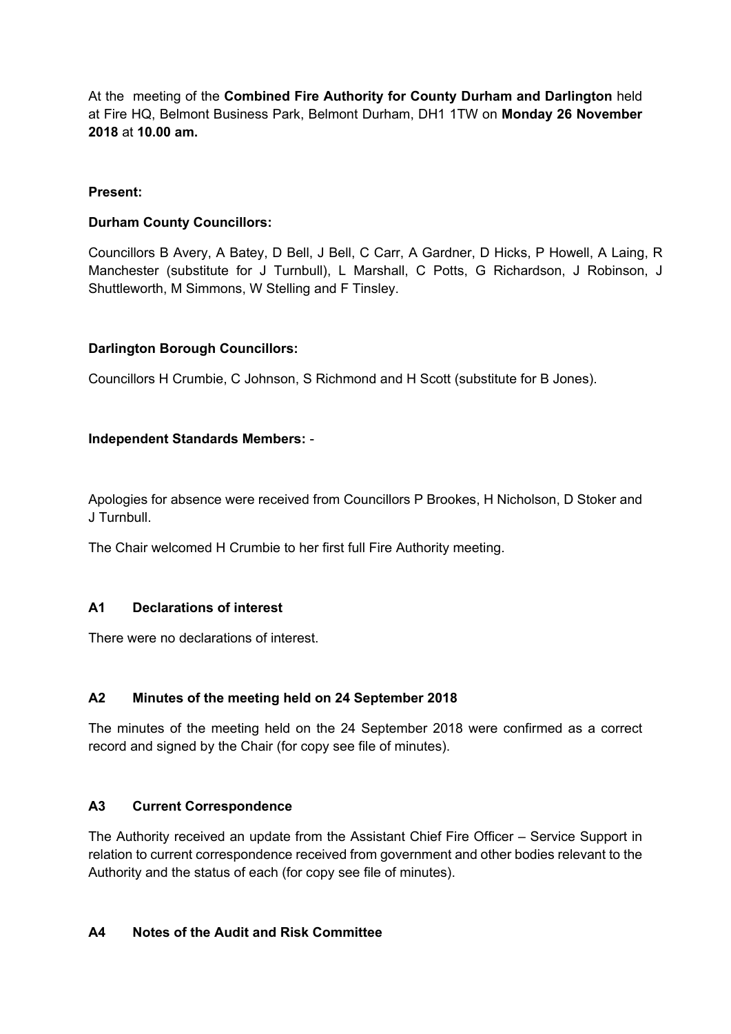At the meeting of the **Combined Fire Authority for County Durham and Darlington** held at Fire HQ, Belmont Business Park, Belmont Durham, DH1 1TW on **Monday 26 November 2018** at **10.00 am.**

### **Present:**

### **Durham County Councillors:**

Councillors B Avery, A Batey, D Bell, J Bell, C Carr, A Gardner, D Hicks, P Howell, A Laing, R Manchester (substitute for J Turnbull), L Marshall, C Potts, G Richardson, J Robinson, J Shuttleworth, M Simmons, W Stelling and F Tinsley.

### **Darlington Borough Councillors:**

Councillors H Crumbie, C Johnson, S Richmond and H Scott (substitute for B Jones).

### **Independent Standards Members:** -

Apologies for absence were received from Councillors P Brookes, H Nicholson, D Stoker and J Turnbull.

The Chair welcomed H Crumbie to her first full Fire Authority meeting.

#### **A1 Declarations of interest**

There were no declarations of interest.

#### **A2 Minutes of the meeting held on 24 September 2018**

The minutes of the meeting held on the 24 September 2018 were confirmed as a correct record and signed by the Chair (for copy see file of minutes).

#### **A3 Current Correspondence**

The Authority received an update from the Assistant Chief Fire Officer – Service Support in relation to current correspondence received from government and other bodies relevant to the Authority and the status of each (for copy see file of minutes).

#### **A4 Notes of the Audit and Risk Committee**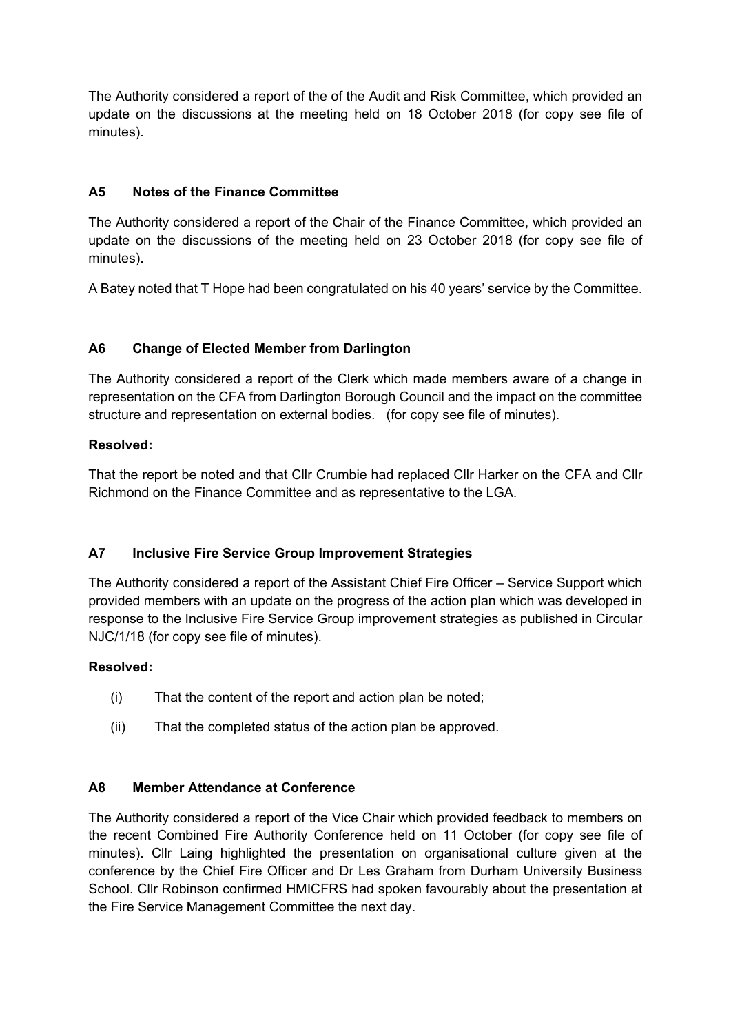The Authority considered a report of the of the Audit and Risk Committee, which provided an update on the discussions at the meeting held on 18 October 2018 (for copy see file of minutes).

# **A5 Notes of the Finance Committee**

The Authority considered a report of the Chair of the Finance Committee, which provided an update on the discussions of the meeting held on 23 October 2018 (for copy see file of minutes).

A Batey noted that T Hope had been congratulated on his 40 years' service by the Committee.

# **A6 Change of Elected Member from Darlington**

The Authority considered a report of the Clerk which made members aware of a change in representation on the CFA from Darlington Borough Council and the impact on the committee structure and representation on external bodies. (for copy see file of minutes).

# **Resolved:**

That the report be noted and that Cllr Crumbie had replaced Cllr Harker on the CFA and Cllr Richmond on the Finance Committee and as representative to the LGA.

# **A7 Inclusive Fire Service Group Improvement Strategies**

The Authority considered a report of the Assistant Chief Fire Officer – Service Support which provided members with an update on the progress of the action plan which was developed in response to the Inclusive Fire Service Group improvement strategies as published in Circular NJC/1/18 (for copy see file of minutes).

# **Resolved:**

- (i) That the content of the report and action plan be noted;
- (ii) That the completed status of the action plan be approved.

# **A8 Member Attendance at Conference**

The Authority considered a report of the Vice Chair which provided feedback to members on the recent Combined Fire Authority Conference held on 11 October (for copy see file of minutes). Cllr Laing highlighted the presentation on organisational culture given at the conference by the Chief Fire Officer and Dr Les Graham from Durham University Business School. Cllr Robinson confirmed HMICFRS had spoken favourably about the presentation at the Fire Service Management Committee the next day.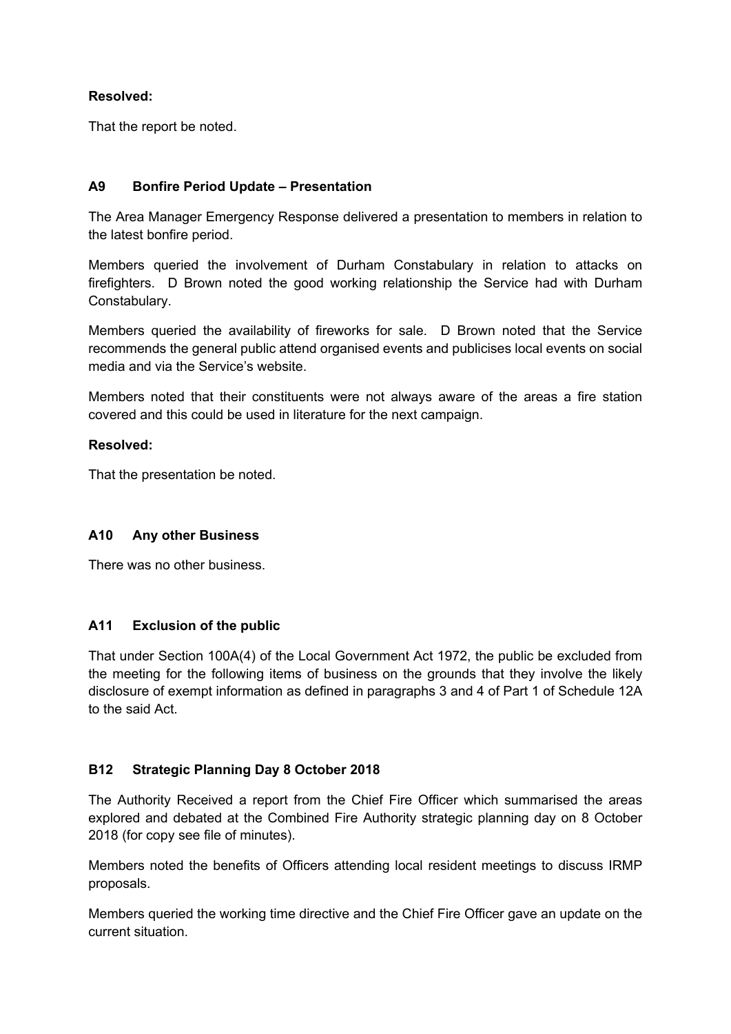### **Resolved:**

That the report be noted.

### **A9 Bonfire Period Update – Presentation**

The Area Manager Emergency Response delivered a presentation to members in relation to the latest bonfire period.

Members queried the involvement of Durham Constabulary in relation to attacks on firefighters. D Brown noted the good working relationship the Service had with Durham Constabulary.

Members queried the availability of fireworks for sale. D Brown noted that the Service recommends the general public attend organised events and publicises local events on social media and via the Service's website.

Members noted that their constituents were not always aware of the areas a fire station covered and this could be used in literature for the next campaign.

#### **Resolved:**

That the presentation be noted.

#### **A10 Any other Business**

There was no other business.

### **A11 Exclusion of the public**

That under Section 100A(4) of the Local Government Act 1972, the public be excluded from the meeting for the following items of business on the grounds that they involve the likely disclosure of exempt information as defined in paragraphs 3 and 4 of Part 1 of Schedule 12A to the said Act.

# **B12 Strategic Planning Day 8 October 2018**

The Authority Received a report from the Chief Fire Officer which summarised the areas explored and debated at the Combined Fire Authority strategic planning day on 8 October 2018 (for copy see file of minutes).

Members noted the benefits of Officers attending local resident meetings to discuss IRMP proposals.

Members queried the working time directive and the Chief Fire Officer gave an update on the current situation.